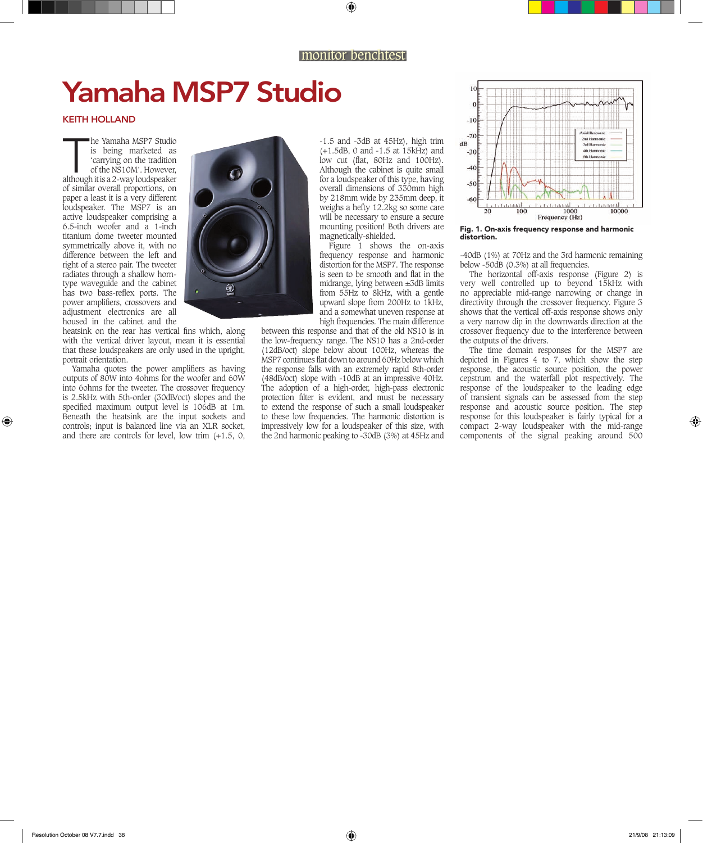## Yamaha MSP7 Studio

## KEITH HOLLAND

The Yamaha MSP7 Studio<br>
is being marketed as<br>
'carrying on the tradition<br>
of the NS10M'. However,<br>
although it is a 2-way loudspeaker he Yamaha MSP7 Studio is being marketed as 'carrying on the tradition of the NS10M'. However, of similar overall proportions, on paper a least it is a very different loudspeaker. The MSP7 is an active loudspeaker comprising a 6.5-inch woofer and a 1-inch titanium dome tweeter mounted symmetrically above it, with no difference between the left and right of a stereo pair. The tweeter radiates through a shallow horntype waveguide and the cabinet has two bass-reflex ports. The power amplifiers, crossovers and adjustment electronics are all housed in the cabinet and the

heatsink on the rear has vertical fins which, along with the vertical driver layout, mean it is essential that these loudspeakers are only used in the upright, portrait orientation.

Yamaha quotes the power amplifiers as having outputs of 80W into 4ohms for the woofer and 60W into 6ohms for the tweeter. The crossover frequency is 2.5kHz with 5th-order (30dB/oct) slopes and the specified maximum output level is 106dB at 1m. Beneath the heatsink are the input sockets and controls; input is balanced line via an XLR socket, and there are controls for level, low trim (+1.5, 0,



-1.5 and -3dB at 45Hz), high trim (+1.5dB, 0 and -1.5 at 15kHz) and low cut (flat, 80Hz and 100Hz). Although the cabinet is quite small for a loudspeaker of this type, having overall dimensions of 330mm high by 218mm wide by 235mm deep, it weighs a hefty 12.2kg so some care will be necessary to ensure a secure mounting position! Both drivers are magnetically-shielded.

Figure 1 shows the on-axis frequency response and harmonic distortion for the MSP7. The response is seen to be smooth and flat in the midrange, lying between ±3dB limits from 55Hz to 8kHz, with a gentle upward slope from 200Hz to 1kHz, and a somewhat uneven response at high frequencies. The main difference

between this response and that of the old NS10 is in the low-frequency range. The NS10 has a 2nd-order (12dB/oct) slope below about 100Hz, whereas the MSP7 continues flat down to around 60Hz below which the response falls with an extremely rapid 8th-order (48dB/oct) slope with -10dB at an impressive 40Hz. The adoption of a high-order, high-pass electronic protection filter is evident, and must be necessary to extend the response of such a small loudspeaker to these low frequencies. The harmonic distortion is impressively low for a loudspeaker of this size, with the 2nd harmonic peaking to -30dB (3%) at 45Hz and



Fig. 1. On-axis frequency response and harmonic distortion.

-40dB (1%) at 70Hz and the 3rd harmonic remaining below -50dB (0.3%) at all frequencies.

The horizontal off-axis response (Figure 2) is very well controlled up to beyond 15kHz with no appreciable mid-range narrowing or change in directivity through the crossover frequency. Figure 3 shows that the vertical off-axis response shows only a very narrow dip in the downwards direction at the crossover frequency due to the interference between the outputs of the drivers.

The time domain responses for the MSP7 are depicted in Figures 4 to 7, which show the step response, the acoustic source position, the power cepstrum and the waterfall plot respectively. The response of the loudspeaker to the leading edge of transient signals can be assessed from the step response and acoustic source position. The step response for this loudspeaker is fairly typical for a compact 2-way loudspeaker with the mid-range components of the signal peaking around 500